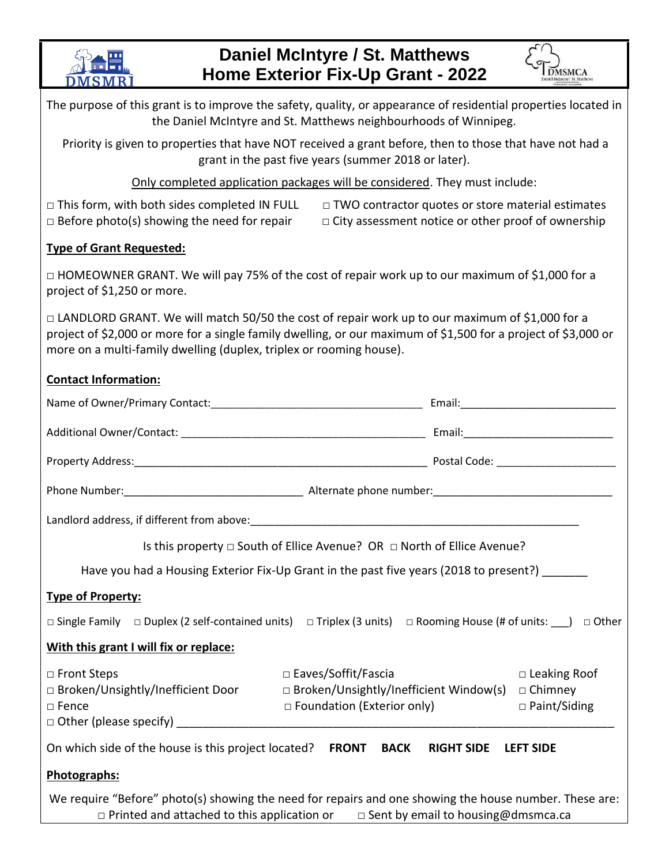

## **Daniel McIntyre / St. Matthews Home Exterior Fix-Up Grant - 2022**



The purpose of this grant is to improve the safety, quality, or appearance of residential properties located in the Daniel McIntyre and St. Matthews neighbourhoods of Winnipeg. Priority is given to properties that have NOT received a grant before, then to those that have not had a grant in the past five years (summer 2018 or later). Only completed application packages will be considered. They must include:  $\Box$  This form, with both sides completed IN FULL  $\Box$  TWO contractor quotes or store material estimates □ Before photo(s) showing the need for repair □ City assessment notice or other proof of ownership **Type of Grant Requested:** □ HOMEOWNER GRANT. We will pay 75% of the cost of repair work up to our maximum of \$1,000 for a project of \$1,250 or more. □ LANDLORD GRANT. We will match 50/50 the cost of repair work up to our maximum of \$1,000 for a project of \$2,000 or more for a single family dwelling, or our maximum of \$1,500 for a project of \$3,000 or more on a multi-family dwelling (duplex, triplex or rooming house). **Contact Information:** Name of Owner/Primary Contact:\_\_\_\_\_\_\_\_\_\_\_\_\_\_\_\_\_\_\_\_\_\_\_\_\_\_\_\_\_\_\_\_\_\_\_\_\_\_\_ Email:\_\_\_\_\_\_\_\_\_\_\_\_\_\_\_\_\_\_\_\_\_\_\_\_\_\_ Additional Owner/Contact: \_\_\_\_\_\_\_\_\_\_\_\_\_\_\_\_\_\_\_\_\_\_\_\_\_\_\_\_\_\_\_\_\_\_\_\_\_\_\_\_\_\_\_\_\_ Email:\_\_\_\_\_\_\_\_\_\_\_\_\_\_\_\_\_\_\_\_\_\_\_\_\_ Property Address: entertainment of the state of the state of the state of the state of the state of the state of the state of the state of the state of the state of the state of the state of the state of the state of the s Phone Number: etc. and the alternate phone number: etc. and the alternate phone number: Landlord address, if different from above: Is this property □ South of Ellice Avenue? OR □ North of Ellice Avenue? Have you had a Housing Exterior Fix-Up Grant in the past five years (2018 to present?) **Type of Property:** □ Single Family □ Duplex (2 self-contained units) □ Triplex (3 units) □ Rooming House (# of units: \_\_\_) □ Other **With this grant I will fix or replace:** □ Front Steps □ Eaves/Soffit/Fascia □ Leaking Roof □ Broken/Unsightly/Inefficient Door □ Broken/Unsightly/Inefficient Window(s) □ Chimney □ Fence □ Foundation (Exterior only) □ Paint/Siding □ Other (please specify) \_\_\_\_\_\_\_\_\_\_\_\_\_\_\_\_\_\_\_\_\_\_\_\_\_\_\_\_\_\_\_\_\_\_\_\_\_\_\_\_\_\_\_\_\_\_\_\_\_\_\_\_\_\_\_\_\_\_\_\_\_\_\_\_\_\_\_ On which side of the house is this project located? **FRONT BACK RIGHT SIDE LEFT SIDE Photographs:**

We require "Before" photo(s) showing the need for repairs and one showing the house number. These are: □ Printed and attached to this application or  $□$  Sent by email to housing@dmsmca.ca